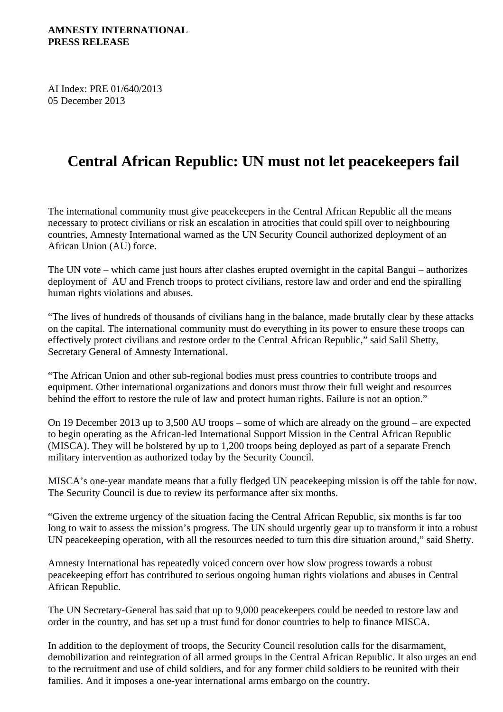AI Index: PRE 01/640/2013 05 December 2013

## **Central African Republic: UN must not let peacekeepers fail**

The international community must give peacekeepers in the Central African Republic all the means necessary to protect civilians or risk an escalation in atrocities that could spill over to neighbouring countries, Amnesty International warned as the UN Security Council authorized deployment of an African Union (AU) force.

The UN vote – which came just hours after clashes erupted overnight in the capital Bangui – authorizes deployment of AU and French troops to protect civilians, restore law and order and end the spiralling human rights violations and abuses.

"The lives of hundreds of thousands of civilians hang in the balance, made brutally clear by these attacks on the capital. The international community must do everything in its power to ensure these troops can effectively protect civilians and restore order to the Central African Republic," said Salil Shetty, Secretary General of Amnesty International.

"The African Union and other sub-regional bodies must press countries to contribute troops and equipment. Other international organizations and donors must throw their full weight and resources behind the effort to restore the rule of law and protect human rights. Failure is not an option."

On 19 December 2013 up to 3,500 AU troops – some of which are already on the ground – are expected to begin operating as the African-led International Support Mission in the Central African Republic (MISCA). They will be bolstered by up to 1,200 troops being deployed as part of a separate French military intervention as authorized today by the Security Council.

MISCA's one-year mandate means that a fully fledged UN peacekeeping mission is off the table for now. The Security Council is due to review its performance after six months.

"Given the extreme urgency of the situation facing the Central African Republic, six months is far too long to wait to assess the mission's progress. The UN should urgently gear up to transform it into a robust UN peacekeeping operation, with all the resources needed to turn this dire situation around," said Shetty.

Amnesty International has repeatedly voiced concern over how slow progress towards a robust peacekeeping effort has contributed to serious ongoing human rights violations and abuses in Central African Republic.

The UN Secretary-General has said that up to 9,000 peacekeepers could be needed to restore law and order in the country, and has set up a trust fund for donor countries to help to finance MISCA.

In addition to the deployment of troops, the Security Council resolution calls for the disarmament, demobilization and reintegration of all armed groups in the Central African Republic. It also urges an end to the recruitment and use of child soldiers, and for any former child soldiers to be reunited with their families. And it imposes a one-year international arms embargo on the country.